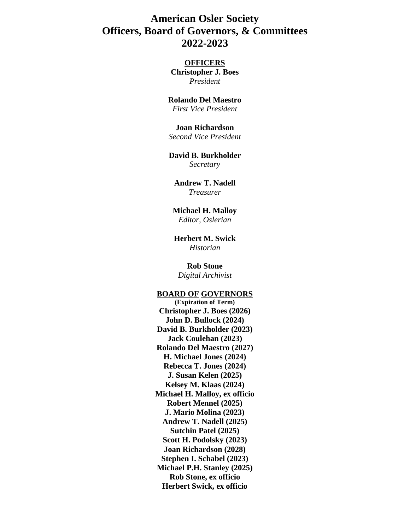# **American Osler Society Officers, Board of Governors, & Committees 2022-2023**

## **OFFICERS**

**Christopher J. Boes** *President*

## **Rolando Del Maestro**

*First Vice President*

#### **Joan Richardson**

*Second Vice President*

#### **David B. Burkholder** *Secretary*

**Andrew T. Nadell** *Treasurer*

#### **Michael H. Malloy** *Editor, Oslerian*

**Herbert M. Swick** *Historian*

**Rob Stone** *Digital Archivist*

#### **BOARD OF GOVERNORS**

**(Expiration of Term) Christopher J. Boes (2026) John D. Bullock (2024) David B. Burkholder (2023) Jack Coulehan (2023) Rolando Del Maestro (2027) H. Michael Jones (2024) Rebecca T. Jones (2024) J. Susan Kelen (2025) Kelsey M. Klaas (2024) Michael H. Malloy, ex officio Robert Mennel (2025) J. Mario Molina (2023) Andrew T. Nadell (2025) Sutchin Patel (2025) Scott H. Podolsky (2023) Joan Richardson (2028) Stephen I. Schabel (2023) Michael P.H. Stanley (2025) Rob Stone, ex officio Herbert Swick, ex officio**